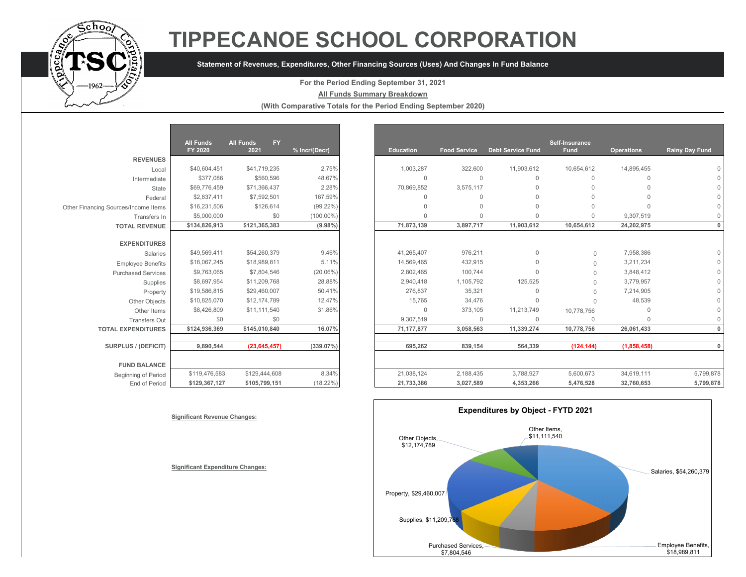

# **TIPPECANOE SCHOOL CORPORATION**

## **Statement of Revenues, Expenditures, Other Financing Sources (Uses) And Changes In Fund Balance**

### **For the Period Ending September 31, 2021**

#### **All Funds Summary Breakdown**

**(With Comparative Totals for the Period Ending September 2020)**

|                                      | <b>All Funds</b><br>FY 2020 | <b>All Funds</b><br><b>FY</b><br>2021 | % Incr/(Decr) |
|--------------------------------------|-----------------------------|---------------------------------------|---------------|
| <b>REVENUES</b>                      |                             |                                       |               |
| Local                                | \$40,604,451                | \$41,719,235                          | 2.75%         |
| Intermediate                         | \$377,086                   | \$560,596                             | 48.67%        |
| State                                | \$69,776,459                | \$71,366,437                          | 2.28%         |
| Federal                              | \$2,837,411                 | \$7,592,501                           | 167.59%       |
| Other Financing Sources/Income Items | \$16,231,506                | \$126.614                             | $(99.22\%)$   |
| Transfers In                         | \$5,000,000                 | \$0                                   | $(100.00\%)$  |
| <b>TOTAL REVENUE</b>                 | \$134,826,913               | \$121,365,383                         | $(9.98\%)$    |
|                                      |                             |                                       |               |
| <b>EXPENDITURES</b>                  |                             |                                       |               |
| Salaries                             | \$49,569,411                | \$54,260,379                          | 9.46%         |
| <b>Employee Benefits</b>             | \$18,067,245                | \$18,989,811                          | 5.11%         |
| <b>Purchased Services</b>            | \$9,763,065                 | \$7,804,546                           | $(20.06\%)$   |
| Supplies                             | \$8,697,954                 | \$11,209,768                          | 28.88%        |
| Property                             | \$19,586,815                | \$29,460,007                          | 50.41%        |
| Other Objects                        | \$10,825,070                | \$12,174,789                          | 12.47%        |
| Other Items                          | \$8,426,809                 | \$11,111,540                          | 31.86%        |
| <b>Transfers Out</b>                 | \$0                         | \$0                                   |               |
| <b>TOTAL EXPENDITURES</b>            | \$124,936,369               | \$145,010,840                         | 16.07%        |
|                                      |                             |                                       |               |
| <b>SURPLUS / (DEFICIT)</b>           | 9,890,544                   | (23, 645, 457)                        | $(339.07\%)$  |
|                                      |                             |                                       |               |
| <b>FUND BALANCE</b>                  |                             |                                       |               |
| <b>Beginning of Period</b>           | \$119,476,583               | \$129,444,608                         | 8.34%         |
| End of Period                        | \$129,367,127               | \$105,799,151                         | $(18.22\%)$   |

|                                      | <b>All Funds</b> | <b>FY</b><br><b>All Funds</b> |               |                  |                     |                          | Self-Insurance |                   |                       |
|--------------------------------------|------------------|-------------------------------|---------------|------------------|---------------------|--------------------------|----------------|-------------------|-----------------------|
|                                      | FY 2020          | 2021                          | % Incr/(Decr) | <b>Education</b> | <b>Food Service</b> | <b>Debt Service Fund</b> | Fund           | <b>Operations</b> | <b>Rainy Day Fund</b> |
| <b>REVENUES</b>                      |                  |                               |               |                  |                     |                          |                |                   |                       |
| Local                                | \$40,604,451     | \$41,719,235                  | 2.75%         | 1,003,287        | 322,600             | 11,903,612               | 10,654,612     | 14,895,455        |                       |
| Intermediate                         | \$377,086        | \$560,596                     | 48.67%        | $\Omega$         | $\mathbf{0}$        | $\Omega$                 | $\mathbf{0}$   | $\mathbf{0}$      |                       |
| State                                | \$69,776,459     | \$71,366,437                  | 2.28%         | 70,869,852       | 3,575,117           | $\Omega$                 | $\Omega$       | $\Omega$          |                       |
| Federal                              | \$2,837,411      | \$7,592,501                   | 167.59%       | U                | $\Omega$            | $\Omega$                 | $\Omega$       |                   |                       |
| Other Financing Sources/Income Items | \$16,231,506     | \$126,614                     | $(99.22\%)$   | $\cap$           | $\Omega$            | $\Omega$                 | $\Omega$       | $\cap$            |                       |
| Transfers In                         | \$5,000,000      | \$0                           | $(100.00\%)$  | $\Omega$         | $\Omega$            | $\Omega$                 | $\Omega$       | 9,307,519         |                       |
| <b>TOTAL REVENUE</b>                 | \$134,826,913    | \$121,365,383                 | $(9.98\%)$    | 71,873,139       | 3,897,717           | 11,903,612               | 10,654,612     | 24,202,975        |                       |
|                                      |                  |                               |               |                  |                     |                          |                |                   |                       |
| <b>EXPENDITURES</b>                  |                  |                               |               |                  |                     |                          |                |                   |                       |
| <b>Salaries</b>                      | \$49,569,411     | \$54,260,379                  | 9.46%         | 41,265,407       | 976,211             | $\Omega$                 | $\Omega$       | 7,958,386         |                       |
| <b>Employee Benefits</b>             | \$18,067,245     | \$18,989,811                  | 5.11%         | 14,569,465       | 432,915             | $\Omega$                 | $\Omega$       | 3,211,234         |                       |
| <b>Purchased Services</b>            | \$9,763,065      | \$7,804,546                   | $(20.06\%)$   | 2,802,465        | 100,744             | $\Omega$                 | $\Omega$       | 3,848,412         |                       |
| Supplies                             | \$8,697.954      | \$11,209,768                  | 28.88%        | 2,940,418        | 1,105,792           | 125,525                  | $\Omega$       | 3,779,957         |                       |
| Property                             | \$19,586,815     | \$29,460,007                  | 50.41%        | 276,837          | 35,321              | $\Omega$                 | $\Omega$       | 7,214,905         |                       |
| Other Objects                        | \$10,825,070     | \$12,174,789                  | 12.47%        | 15,765           | 34,476              | $\Omega$                 |                | 48,539            |                       |
| Other Items                          | \$8,426,809      | \$11,111,540                  | 31.86%        | $\Omega$         | 373,105             | 11,213,749               | 10,778,756     | $\cap$            |                       |
| <b>Transfers Out</b>                 | \$0              | \$0                           |               | 9,307,519        | $\Omega$            | $\Omega$                 | $\Omega$       | $\Omega$          |                       |
| <b>TOTAL EXPENDITURES</b>            | \$124,936,369    | \$145,010,840                 | 16.07%        | 71, 177, 877     | 3,058,563           | 11,339,274               | 10,778,756     | 26,061,433        |                       |
|                                      |                  |                               |               |                  |                     |                          |                |                   |                       |
| SURPLUS / (DEFICIT)                  | 9,890,544        | (23, 645, 457)                | (339.07%)     | 695,262          | 839,154             | 564,339                  | (124, 144)     | (1,858,458)       |                       |
| <b>FUND BALANCE</b>                  |                  |                               |               |                  |                     |                          |                |                   |                       |
| Beginning of Period                  | \$119,476,583    | \$129,444,608                 | 8.34%         | 21,038,124       | 2,188,435           | 3,788,927                | 5,600,673      | 34,619,111        | 5,799,878             |
| End of Period                        | \$129,367,127    | \$105,799,151                 | $(18.22\%)$   | 21,733,386       | 3,027,589           | 4,353,266                | 5,476,528      | 32,760,653        | 5,799,878             |



#### **Significant Revenue Changes:**

**Significant Expenditure Changes:**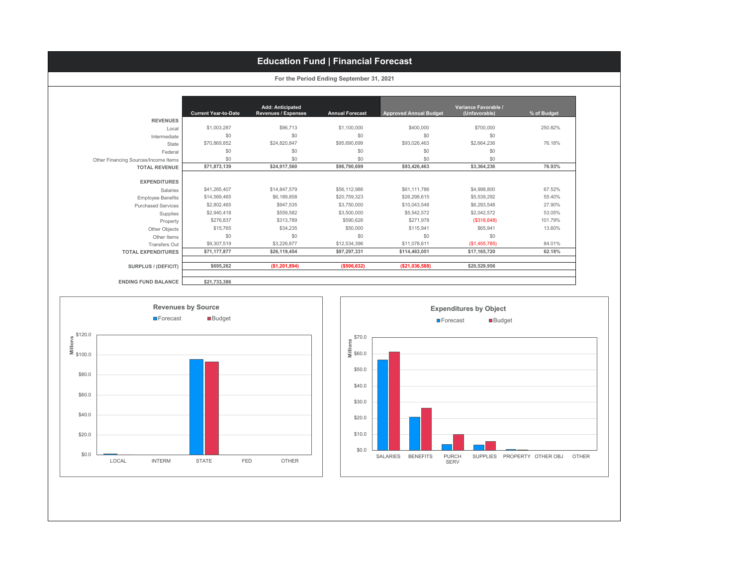## **Education Fund | Financial Forecast**

|                                      | <b>Current Year-to-Date</b> | Add: Anticipated<br><b>Revenues / Expenses</b> | <b>Annual Forecast</b> | <b>Approved Annual Budget</b> | Variance Favorable /<br>(Unfavorable) | % of Budget |
|--------------------------------------|-----------------------------|------------------------------------------------|------------------------|-------------------------------|---------------------------------------|-------------|
| <b>REVENUES</b>                      |                             |                                                |                        |                               |                                       |             |
| Local                                | \$1,003,287                 | \$96,713                                       | \$1,100,000            | \$400,000                     | \$700,000                             | 250.82%     |
| Intermediate                         | \$0                         | \$0                                            | \$0                    | \$0                           | \$0                                   |             |
| State                                | \$70,869,852                | \$24,820,847                                   | \$95,690,699           | \$93,026,463                  | \$2,664,236                           | 76.18%      |
| Federal                              | \$0                         | \$0                                            | \$0                    | \$0                           | \$0                                   |             |
| Other Financing Sources/Income Items | \$0                         | \$0                                            | \$0                    | \$0                           | \$0                                   |             |
| <b>TOTAL REVENUE</b>                 | \$71,873,139                | \$24,917,560                                   | \$96,790,699           | \$93,426,463                  | \$3,364,236                           | 76.93%      |
| <b>EXPENDITURES</b>                  |                             |                                                |                        |                               |                                       |             |
| Salaries                             | \$41,265,407                | \$14,847,579                                   | \$56,112,986           | \$61,111,786                  | \$4,998,800                           | 67.52%      |
| <b>Employee Benefits</b>             | \$14,569,465                | \$6,189,858                                    | \$20,759,323           | \$26,298,615                  | \$5,539,292                           | 55.40%      |
| <b>Purchased Services</b>            | \$2,802,465                 | \$947,535                                      | \$3,750,000            | \$10,043,548                  | \$6,293,548                           | 27.90%      |
| Supplies                             | \$2,940,418                 | \$559,582                                      | \$3,500,000            | \$5,542,572                   | \$2,042,572                           | 53.05%      |
| Property                             | \$276,837                   | \$313,789                                      | \$590,626              | \$271,978                     | $($ \$318,648)                        | 101.79%     |
| Other Objects                        | \$15,765                    | \$34,235                                       | \$50,000               | \$115,941                     | \$65,941                              | 13.60%      |
| Other Items                          | \$0                         | \$0                                            | \$0                    | \$0                           | \$0                                   |             |
| <b>Transfers Out</b>                 | \$9,307,519                 | \$3,226,877                                    | \$12,534,396           | \$11,078,611                  | (\$1,455,785)                         | 84.01%      |
| <b>TOTAL EXPENDITURES</b>            | \$71,177,877                | \$26,119,454                                   | \$97,297,331           | \$114,463,051                 | \$17,165,720                          | 62.18%      |
| SURPLUS / (DEFICIT)                  | \$695,262                   | (\$1,201,894)                                  | (\$506, 632)           | ( \$21,036,588)               | \$20,529,956                          |             |

**For the Period Ending September 31, 2021**



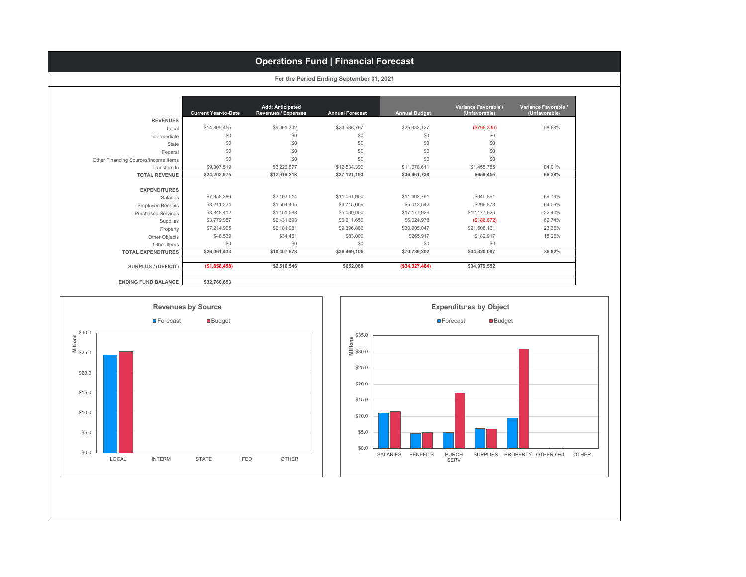## **Operations Fund | Financial Forecast**

|                                      | <b>Current Year-to-Date</b> | Add: Anticipated<br><b>Revenues / Expenses</b> | <b>Annual Forecast</b> | <b>Annual Budget</b> | Variance Favorable /<br>(Unfavorable) | Variance Favorable /<br>(Unfavorable) |
|--------------------------------------|-----------------------------|------------------------------------------------|------------------------|----------------------|---------------------------------------|---------------------------------------|
| <b>REVENUES</b>                      |                             |                                                |                        |                      |                                       |                                       |
| Local                                | \$14,895,455                | \$9,691,342                                    | \$24,586,797           | \$25,383,127         | (\$796,330)                           | 58.68%                                |
| Intermediate                         | \$0                         | \$0                                            | \$0                    | \$0                  | \$0                                   |                                       |
| State                                | \$0                         | \$0                                            | \$0                    | \$0                  | \$0                                   |                                       |
| Federal                              | \$0                         | \$0                                            | \$0                    | \$0                  | \$0                                   |                                       |
| Other Financing Sources/Income Items | \$0                         | \$0                                            | \$0                    | \$0                  | \$0                                   |                                       |
| Transfers In                         | \$9,307,519                 | \$3,226,877                                    | \$12,534,396           | \$11,078,611         | \$1,455,785                           | 84.01%                                |
| <b>TOTAL REVENUE</b>                 | \$24,202,975                | \$12,918,218                                   | \$37,121,193           | \$36,461,738         | \$659,455                             | 66.38%                                |
| <b>EXPENDITURES</b>                  |                             |                                                |                        |                      |                                       |                                       |
| Salaries                             | \$7,958,386                 | \$3,103,514                                    | \$11,061,900           | \$11,402,791         | \$340.891                             | 69.79%                                |
| <b>Employee Benefits</b>             | \$3.211.234                 | \$1,504,435                                    | \$4,715,669            | \$5,012,542          | \$296,873                             | 64.06%                                |
| <b>Purchased Services</b>            | \$3,848,412                 | \$1,151,588                                    | \$5,000,000            | \$17,177,926         | \$12,177,926                          | 22.40%                                |
| Supplies                             | \$3,779,957                 | \$2,431,693                                    | \$6,211,650            | \$6,024,978          | (\$186,672)                           | 62.74%                                |
| Property                             | \$7,214,905                 | \$2,181,981                                    | \$9,396,886            | \$30,905,047         | \$21,508,161                          | 23.35%                                |
| Other Objects                        | \$48,539                    | \$34,461                                       | \$83,000               | \$265,917            | \$182,917                             | 18.25%                                |
| Other Items                          | \$0                         | \$0                                            | \$0                    | \$0                  | \$0                                   |                                       |
| <b>TOTAL EXPENDITURES</b>            | \$26,061,433                | \$10,407,673                                   | \$36,469,105           | \$70,789,202         | \$34,320,097                          | 36.82%                                |
|                                      |                             |                                                |                        |                      |                                       |                                       |





**For the Period Ending September 31, 2021**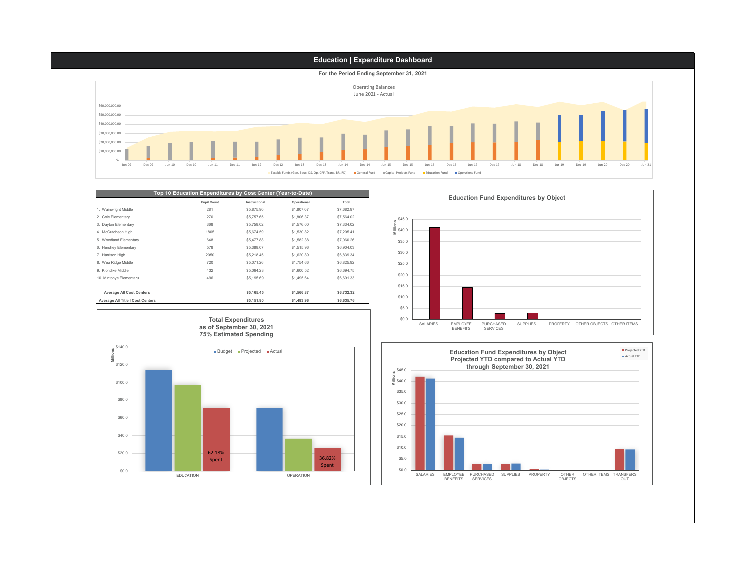

| <b>Pupil Count</b><br>1. Wainwright Middle<br>281 | Instructional<br>\$5,875.90 | Operational<br>\$1,807.07 | Total      |
|---------------------------------------------------|-----------------------------|---------------------------|------------|
|                                                   |                             |                           |            |
|                                                   |                             |                           | \$7,682.97 |
| 270<br>2. Cole Elementary                         | \$5,757.65                  | \$1,806.37                | \$7,564.02 |
| 368<br>3. Dayton Elementary                       | \$5,758.02                  | \$1,576.00                | \$7,334.02 |
| 1805<br>4. McCutcheon High                        | \$5,674.59                  | \$1,530.82                | \$7,205.41 |
| 648<br>5. Woodland Elementary                     | \$5,477.88                  | \$1,582.38                | \$7,060.26 |
| 578<br>6. Hershey Elementary                      | \$5,388.07                  | \$1,515.96                | \$6,904.03 |
| 7. Harrison High<br>2050                          | \$5,218.45                  | \$1,620.89                | \$6,839.34 |
| 8. Wea Ridge Middle<br>720                        | \$5,071.26                  | \$1,754.66                | \$6,825.92 |
| 9 Klondike Middle<br>432                          | \$5,094.23                  | \$1,600.52                | \$6,694.75 |
| 10. Mintonve Elementaru<br>496                    | \$5,195.69                  | \$1,495.64                | \$6,691.33 |
|                                                   |                             |                           |            |
| <b>Average All Cost Centers</b>                   | \$5,165.45                  | \$1,566.87                | \$6,732.32 |
| Average All Title I Cost Centers                  | \$5,151.80                  | \$1,483.96                | \$6,635.76 |



**Education Fund Expenditures by Object**